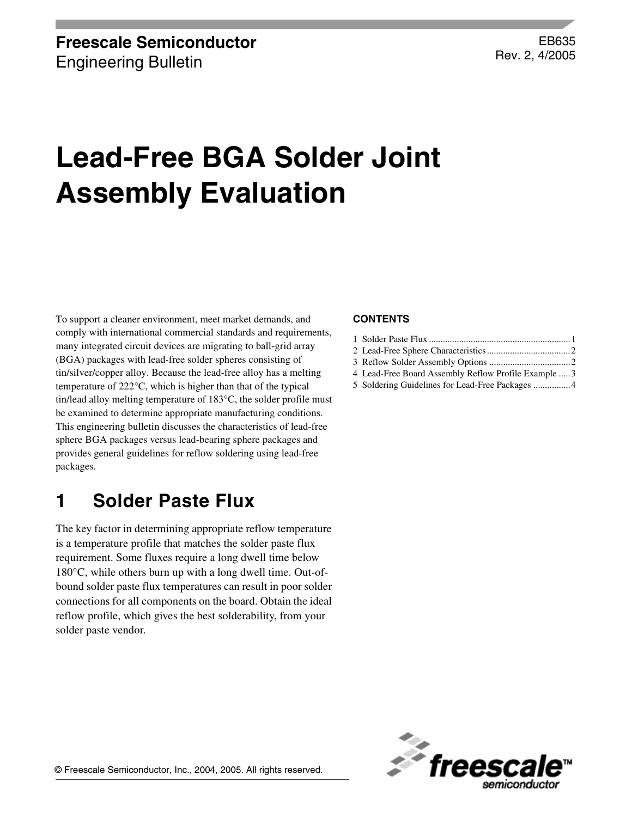### EB635 Rev. 2, 4/2005

# **Lead-Free BGA Solder Joint Assembly Evaluation**

To support a cleaner environment, meet market demands, and comply with international commercial standards and requirements, many integrated circuit devices are migrating to ball-grid array (BGA) packages with lead-free solder spheres consisting of tin/silver/copper alloy. Because the lead-free alloy has a melting temperature of 222°C, which is higher than that of the typical tin/lead alloy melting temperature of 183°C, the solder profile must be examined to determine appropriate manufacturing conditions. This engineering bulletin discusses the characteristics of lead-free sphere BGA packages versus lead-bearing sphere packages and provides general guidelines for reflow soldering using lead-free packages.

### <span id="page-0-0"></span>**1 Solder Paste Flux**

The key factor in determining appropriate reflow temperature is a temperature profile that matches the solder paste flux requirement. Some fluxes require a long dwell time below 180°C, while others burn up with a long dwell time. Out-ofbound solder paste flux temperatures can result in poor solder connections for all components on the board. Obtain the ideal reflow profile, which gives the best solderability, from your solder paste vendor.

#### **CONTENTS**

- [1 Solder Paste Flux .............................................................1](#page-0-0) [2 Lead-Free Sphere Characteristics....................................2](#page-1-0) [3 Reflow Solder Assembly Options ...................................2](#page-1-1) [4 Lead-Free Board Assembly Reflow Profile Example .....3](#page-2-0)
- [5 Soldering Guidelines for Lead-Free Packages ................4](#page-3-0)

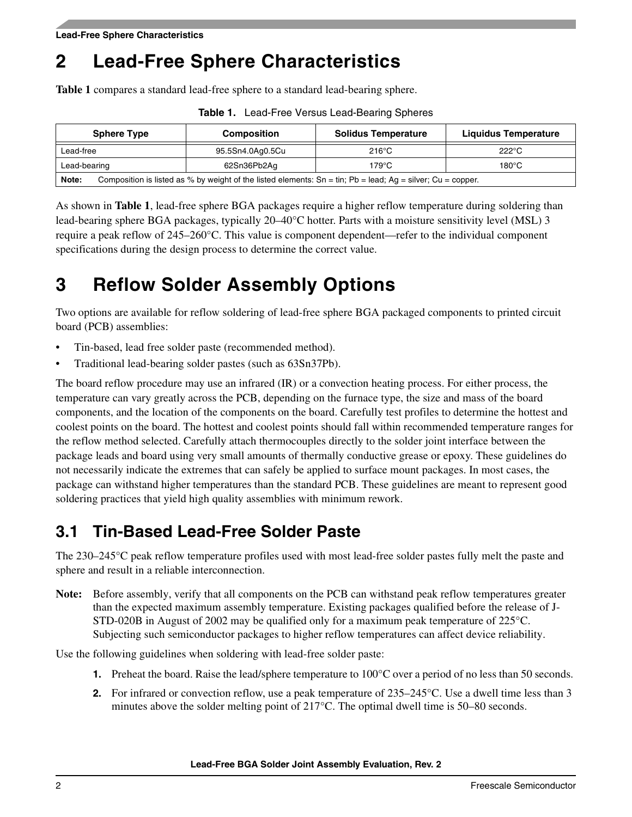# <span id="page-1-0"></span>**2 Lead-Free Sphere Characteristics**

**[Table 1](#page-1-2)** compares a standard lead-free sphere to a standard lead-bearing sphere.

<span id="page-1-2"></span>

| <b>Sphere Type</b>                                                                                                               | <b>Composition</b> | <b>Solidus Temperature</b> | Liquidus Temperature |
|----------------------------------------------------------------------------------------------------------------------------------|--------------------|----------------------------|----------------------|
| Lead-free                                                                                                                        | 95.5Sn4.0Ag0.5Cu   | $216^{\circ}$ C            | $222^{\circ}$ C      |
| Lead-bearing                                                                                                                     | 62Sn36Pb2Aq        | 179°C                      | $180^{\circ}$ C      |
| Composition is listed as % by weight of the listed elements: $Sn = tin$ ; $Pb = lead$ ; $Ag = silver$ ; $Cu = copper$ .<br>Note: |                    |                            |                      |

**Table 1.** Lead-Free Versus Lead-Bearing Spheres

As shown in **[Table 1](#page-1-2)**, lead-free sphere BGA packages require a higher reflow temperature during soldering than lead-bearing sphere BGA packages, typically 20–40°C hotter. Parts with a moisture sensitivity level (MSL) 3 require a peak reflow of 245–260°C. This value is component dependent—refer to the individual component specifications during the design process to determine the correct value.

# <span id="page-1-1"></span>**3 Reflow Solder Assembly Options**

Two options are available for reflow soldering of lead-free sphere BGA packaged components to printed circuit board (PCB) assemblies:

- Tin-based, lead free solder paste (recommended method).
- Traditional lead-bearing solder pastes (such as 63Sn37Pb).

The board reflow procedure may use an infrared (IR) or a convection heating process. For either process, the temperature can vary greatly across the PCB, depending on the furnace type, the size and mass of the board components, and the location of the components on the board. Carefully test profiles to determine the hottest and coolest points on the board. The hottest and coolest points should fall within recommended temperature ranges for the reflow method selected. Carefully attach thermocouples directly to the solder joint interface between the package leads and board using very small amounts of thermally conductive grease or epoxy. These guidelines do not necessarily indicate the extremes that can safely be applied to surface mount packages. In most cases, the package can withstand higher temperatures than the standard PCB. These guidelines are meant to represent good soldering practices that yield high quality assemblies with minimum rework.

## **3.1 Tin-Based Lead-Free Solder Paste**

The 230–245°C peak reflow temperature profiles used with most lead-free solder pastes fully melt the paste and sphere and result in a reliable interconnection.

**Note:** Before assembly, verify that all components on the PCB can withstand peak reflow temperatures greater than the expected maximum assembly temperature. Existing packages qualified before the release of J-STD-020B in August of 2002 may be qualified only for a maximum peak temperature of 225°C. Subjecting such semiconductor packages to higher reflow temperatures can affect device reliability.

Use the following guidelines when soldering with lead-free solder paste:

- **1.** Preheat the board. Raise the lead/sphere temperature to 100°C over a period of no less than 50 seconds.
- **2.** For infrared or convection reflow, use a peak temperature of 235–245°C. Use a dwell time less than 3 minutes above the solder melting point of 217°C. The optimal dwell time is 50–80 seconds.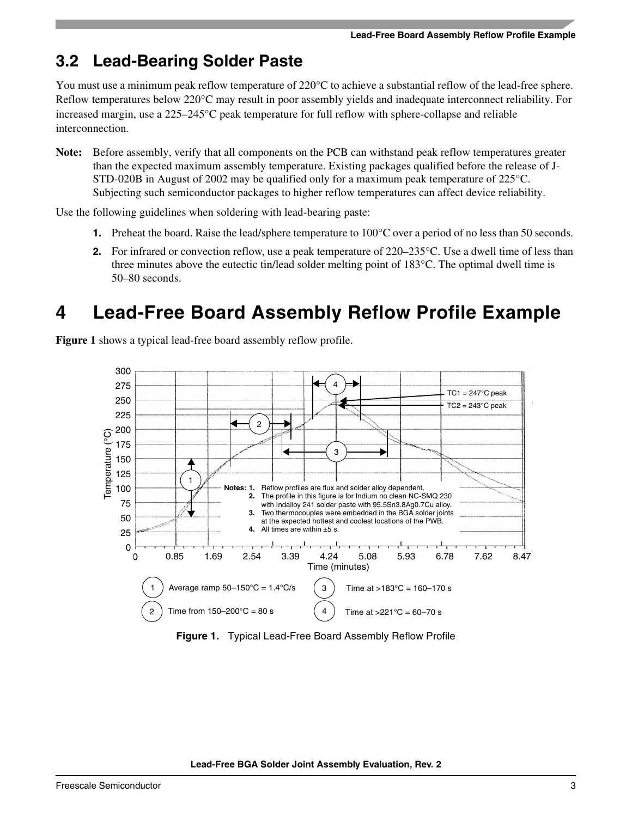### **3.2 Lead-Bearing Solder Paste**

You must use a minimum peak reflow temperature of 220<sup>o</sup>C to achieve a substantial reflow of the lead-free sphere. Reflow temperatures below 220°C may result in poor assembly yields and inadequate interconnect reliability. For increased margin, use a 225–245°C peak temperature for full reflow with sphere-collapse and reliable interconnection.

**Note:** Before assembly, verify that all components on the PCB can withstand peak reflow temperatures greater than the expected maximum assembly temperature. Existing packages qualified before the release of J-STD-020B in August of 2002 may be qualified only for a maximum peak temperature of 225°C. Subjecting such semiconductor packages to higher reflow temperatures can affect device reliability.

Use the following guidelines when soldering with lead-bearing paste:

- **1.** Preheat the board. Raise the lead/sphere temperature to 100°C over a period of no less than 50 seconds.
- **2.** For infrared or convection reflow, use a peak temperature of 220–235 °C. Use a dwell time of less than three minutes above the eutectic tin/lead solder melting point of 183°C. The optimal dwell time is 50–80 seconds.

### <span id="page-2-0"></span>**4 Lead-Free Board Assembly Reflow Profile Example**

**[Figure 1](#page-2-1)** shows a typical lead-free board assembly reflow profile.



<span id="page-2-1"></span>**Figure 1.** Typical Lead-Free Board Assembly Reflow Profile

**Lead-Free BGA Solder Joint Assembly Evaluation, Rev. 2**